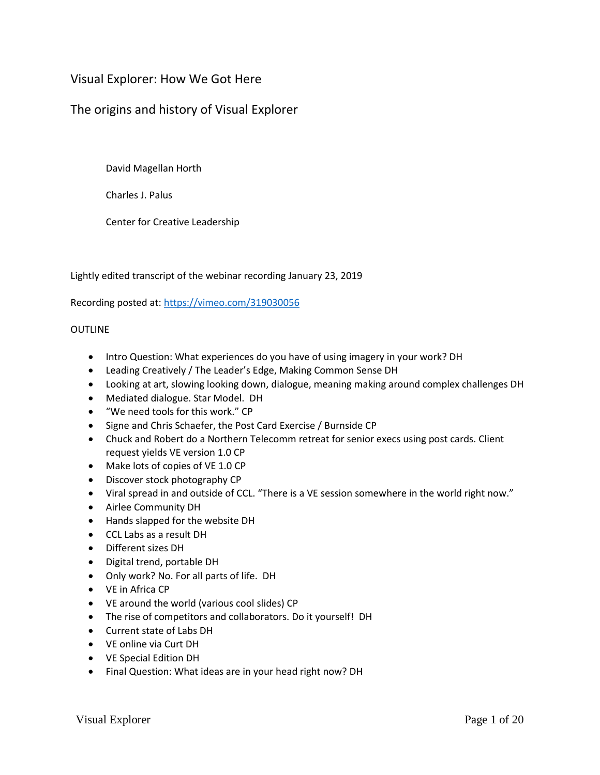## Visual Explorer: How We Got Here

## The origins and history of Visual Explorer

David Magellan Horth

Charles J. Palus

Center for Creative Leadership

Lightly edited transcript of the webinar recording January 23, 2019

Recording posted at:<https://vimeo.com/319030056>

## **OUTLINE**

- Intro Question: What experiences do you have of using imagery in your work? DH
- Leading Creatively / The Leader's Edge, Making Common Sense DH
- Looking at art, slowing looking down, dialogue, meaning making around complex challenges DH
- Mediated dialogue. Star Model. DH
- "We need tools for this work." CP
- Signe and Chris Schaefer, the Post Card Exercise / Burnside CP
- Chuck and Robert do a Northern Telecomm retreat for senior execs using post cards. Client request yields VE version 1.0 CP
- Make lots of copies of VE 1.0 CP
- Discover stock photography CP
- Viral spread in and outside of CCL. "There is a VE session somewhere in the world right now."
- Airlee Community DH
- Hands slapped for the website DH
- CCL Labs as a result DH
- Different sizes DH
- Digital trend, portable DH
- Only work? No. For all parts of life. DH
- VE in Africa CP
- VE around the world (various cool slides) CP
- The rise of competitors and collaborators. Do it yourself! DH
- Current state of Labs DH
- VE online via Curt DH
- VE Special Edition DH
- Final Question: What ideas are in your head right now? DH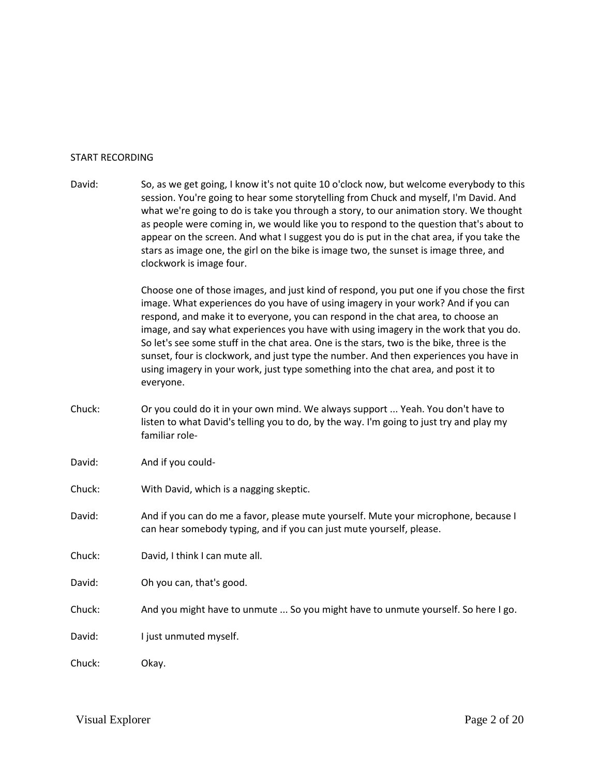## START RECORDING

- David: So, as we get going, I know it's not quite 10 o'clock now, but welcome everybody to this session. You're going to hear some storytelling from Chuck and myself, I'm David. And what we're going to do is take you through a story, to our animation story. We thought as people were coming in, we would like you to respond to the question that's about to appear on the screen. And what I suggest you do is put in the chat area, if you take the stars as image one, the girl on the bike is image two, the sunset is image three, and clockwork is image four. Choose one of those images, and just kind of respond, you put one if you chose the first image. What experiences do you have of using imagery in your work? And if you can respond, and make it to everyone, you can respond in the chat area, to choose an image, and say what experiences you have with using imagery in the work that you do. So let's see some stuff in the chat area. One is the stars, two is the bike, three is the sunset, four is clockwork, and just type the number. And then experiences you have in using imagery in your work, just type something into the chat area, and post it to everyone. Chuck: Or you could do it in your own mind. We always support ... Yeah. You don't have to listen to what David's telling you to do, by the way. I'm going to just try and play my familiar role-David: And if you could-Chuck: With David, which is a nagging skeptic. David: And if you can do me a favor, please mute yourself. Mute your microphone, because I can hear somebody typing, and if you can just mute yourself, please. Chuck: David, I think I can mute all. David: Oh you can, that's good.
- Chuck: And you might have to unmute ... So you might have to unmute yourself. So here I go.
- David: I just unmuted myself.

Chuck: Okay.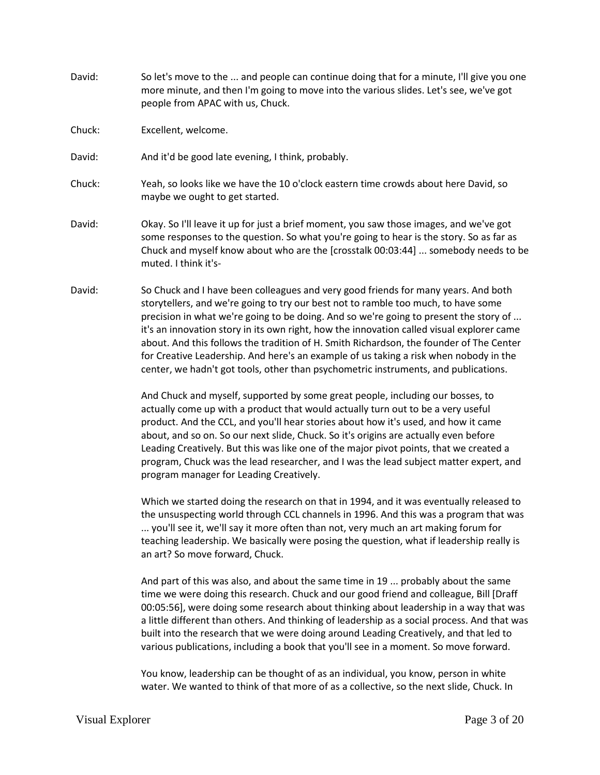- David: So let's move to the ... and people can continue doing that for a minute, I'll give you one more minute, and then I'm going to move into the various slides. Let's see, we've got people from APAC with us, Chuck.
- Chuck: Excellent, welcome.
- David: And it'd be good late evening, I think, probably.
- Chuck: Yeah, so looks like we have the 10 o'clock eastern time crowds about here David, so maybe we ought to get started.
- David: Okay. So I'll leave it up for just a brief moment, you saw those images, and we've got some responses to the question. So what you're going to hear is the story. So as far as Chuck and myself know about who are the [crosstalk 00:03:44] ... somebody needs to be muted. I think it's-
- David: So Chuck and I have been colleagues and very good friends for many years. And both storytellers, and we're going to try our best not to ramble too much, to have some precision in what we're going to be doing. And so we're going to present the story of ... it's an innovation story in its own right, how the innovation called visual explorer came about. And this follows the tradition of H. Smith Richardson, the founder of The Center for Creative Leadership. And here's an example of us taking a risk when nobody in the center, we hadn't got tools, other than psychometric instruments, and publications.

And Chuck and myself, supported by some great people, including our bosses, to actually come up with a product that would actually turn out to be a very useful product. And the CCL, and you'll hear stories about how it's used, and how it came about, and so on. So our next slide, Chuck. So it's origins are actually even before Leading Creatively. But this was like one of the major pivot points, that we created a program, Chuck was the lead researcher, and I was the lead subject matter expert, and program manager for Leading Creatively.

Which we started doing the research on that in 1994, and it was eventually released to the unsuspecting world through CCL channels in 1996. And this was a program that was ... you'll see it, we'll say it more often than not, very much an art making forum for teaching leadership. We basically were posing the question, what if leadership really is an art? So move forward, Chuck.

And part of this was also, and about the same time in 19 ... probably about the same time we were doing this research. Chuck and our good friend and colleague, Bill [Draff 00:05:56], were doing some research about thinking about leadership in a way that was a little different than others. And thinking of leadership as a social process. And that was built into the research that we were doing around Leading Creatively, and that led to various publications, including a book that you'll see in a moment. So move forward.

You know, leadership can be thought of as an individual, you know, person in white water. We wanted to think of that more of as a collective, so the next slide, Chuck. In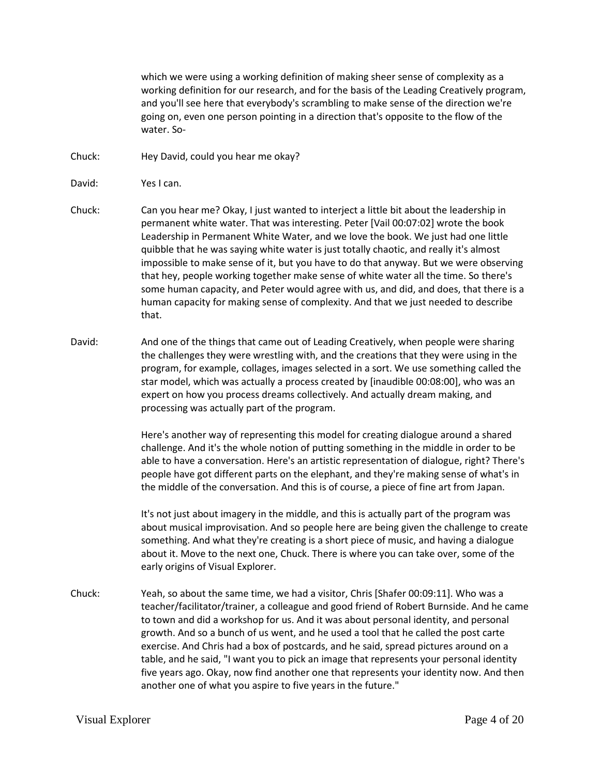which we were using a working definition of making sheer sense of complexity as a working definition for our research, and for the basis of the Leading Creatively program, and you'll see here that everybody's scrambling to make sense of the direction we're going on, even one person pointing in a direction that's opposite to the flow of the water. So-

Chuck: Hey David, could you hear me okay?

David: Yes I can.

- Chuck: Can you hear me? Okay, I just wanted to interject a little bit about the leadership in permanent white water. That was interesting. Peter [Vail 00:07:02] wrote the book Leadership in Permanent White Water, and we love the book. We just had one little quibble that he was saying white water is just totally chaotic, and really it's almost impossible to make sense of it, but you have to do that anyway. But we were observing that hey, people working together make sense of white water all the time. So there's some human capacity, and Peter would agree with us, and did, and does, that there is a human capacity for making sense of complexity. And that we just needed to describe that.
- David: And one of the things that came out of Leading Creatively, when people were sharing the challenges they were wrestling with, and the creations that they were using in the program, for example, collages, images selected in a sort. We use something called the star model, which was actually a process created by [inaudible 00:08:00], who was an expert on how you process dreams collectively. And actually dream making, and processing was actually part of the program.

Here's another way of representing this model for creating dialogue around a shared challenge. And it's the whole notion of putting something in the middle in order to be able to have a conversation. Here's an artistic representation of dialogue, right? There's people have got different parts on the elephant, and they're making sense of what's in the middle of the conversation. And this is of course, a piece of fine art from Japan.

It's not just about imagery in the middle, and this is actually part of the program was about musical improvisation. And so people here are being given the challenge to create something. And what they're creating is a short piece of music, and having a dialogue about it. Move to the next one, Chuck. There is where you can take over, some of the early origins of Visual Explorer.

Chuck: Yeah, so about the same time, we had a visitor, Chris [Shafer 00:09:11]. Who was a teacher/facilitator/trainer, a colleague and good friend of Robert Burnside. And he came to town and did a workshop for us. And it was about personal identity, and personal growth. And so a bunch of us went, and he used a tool that he called the post carte exercise. And Chris had a box of postcards, and he said, spread pictures around on a table, and he said, "I want you to pick an image that represents your personal identity five years ago. Okay, now find another one that represents your identity now. And then another one of what you aspire to five years in the future."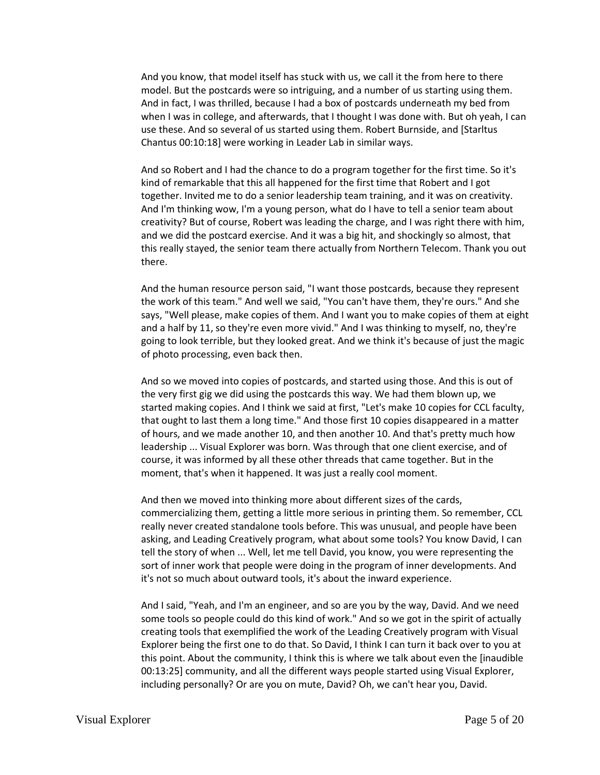And you know, that model itself has stuck with us, we call it the from here to there model. But the postcards were so intriguing, and a number of us starting using them. And in fact, I was thrilled, because I had a box of postcards underneath my bed from when I was in college, and afterwards, that I thought I was done with. But oh yeah, I can use these. And so several of us started using them. Robert Burnside, and [Starltus Chantus 00:10:18] were working in Leader Lab in similar ways.

And so Robert and I had the chance to do a program together for the first time. So it's kind of remarkable that this all happened for the first time that Robert and I got together. Invited me to do a senior leadership team training, and it was on creativity. And I'm thinking wow, I'm a young person, what do I have to tell a senior team about creativity? But of course, Robert was leading the charge, and I was right there with him, and we did the postcard exercise. And it was a big hit, and shockingly so almost, that this really stayed, the senior team there actually from Northern Telecom. Thank you out there.

And the human resource person said, "I want those postcards, because they represent the work of this team." And well we said, "You can't have them, they're ours." And she says, "Well please, make copies of them. And I want you to make copies of them at eight and a half by 11, so they're even more vivid." And I was thinking to myself, no, they're going to look terrible, but they looked great. And we think it's because of just the magic of photo processing, even back then.

And so we moved into copies of postcards, and started using those. And this is out of the very first gig we did using the postcards this way. We had them blown up, we started making copies. And I think we said at first, "Let's make 10 copies for CCL faculty, that ought to last them a long time." And those first 10 copies disappeared in a matter of hours, and we made another 10, and then another 10. And that's pretty much how leadership ... Visual Explorer was born. Was through that one client exercise, and of course, it was informed by all these other threads that came together. But in the moment, that's when it happened. It was just a really cool moment.

And then we moved into thinking more about different sizes of the cards, commercializing them, getting a little more serious in printing them. So remember, CCL really never created standalone tools before. This was unusual, and people have been asking, and Leading Creatively program, what about some tools? You know David, I can tell the story of when ... Well, let me tell David, you know, you were representing the sort of inner work that people were doing in the program of inner developments. And it's not so much about outward tools, it's about the inward experience.

And I said, "Yeah, and I'm an engineer, and so are you by the way, David. And we need some tools so people could do this kind of work." And so we got in the spirit of actually creating tools that exemplified the work of the Leading Creatively program with Visual Explorer being the first one to do that. So David, I think I can turn it back over to you at this point. About the community, I think this is where we talk about even the [inaudible 00:13:25] community, and all the different ways people started using Visual Explorer, including personally? Or are you on mute, David? Oh, we can't hear you, David.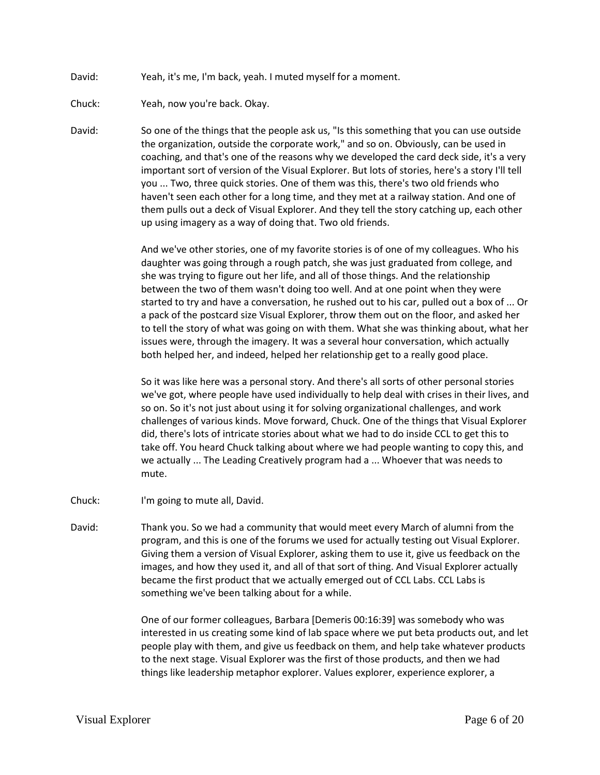- David: Yeah, it's me, I'm back, yeah. I muted myself for a moment.
- Chuck: Yeah, now you're back. Okay.
- David: So one of the things that the people ask us, "Is this something that you can use outside the organization, outside the corporate work," and so on. Obviously, can be used in coaching, and that's one of the reasons why we developed the card deck side, it's a very important sort of version of the Visual Explorer. But lots of stories, here's a story I'll tell you ... Two, three quick stories. One of them was this, there's two old friends who haven't seen each other for a long time, and they met at a railway station. And one of them pulls out a deck of Visual Explorer. And they tell the story catching up, each other up using imagery as a way of doing that. Two old friends.

And we've other stories, one of my favorite stories is of one of my colleagues. Who his daughter was going through a rough patch, she was just graduated from college, and she was trying to figure out her life, and all of those things. And the relationship between the two of them wasn't doing too well. And at one point when they were started to try and have a conversation, he rushed out to his car, pulled out a box of ... Or a pack of the postcard size Visual Explorer, throw them out on the floor, and asked her to tell the story of what was going on with them. What she was thinking about, what her issues were, through the imagery. It was a several hour conversation, which actually both helped her, and indeed, helped her relationship get to a really good place.

So it was like here was a personal story. And there's all sorts of other personal stories we've got, where people have used individually to help deal with crises in their lives, and so on. So it's not just about using it for solving organizational challenges, and work challenges of various kinds. Move forward, Chuck. One of the things that Visual Explorer did, there's lots of intricate stories about what we had to do inside CCL to get this to take off. You heard Chuck talking about where we had people wanting to copy this, and we actually ... The Leading Creatively program had a ... Whoever that was needs to mute.

- Chuck: I'm going to mute all, David.
- David: Thank you. So we had a community that would meet every March of alumni from the program, and this is one of the forums we used for actually testing out Visual Explorer. Giving them a version of Visual Explorer, asking them to use it, give us feedback on the images, and how they used it, and all of that sort of thing. And Visual Explorer actually became the first product that we actually emerged out of CCL Labs. CCL Labs is something we've been talking about for a while.

One of our former colleagues, Barbara [Demeris 00:16:39] was somebody who was interested in us creating some kind of lab space where we put beta products out, and let people play with them, and give us feedback on them, and help take whatever products to the next stage. Visual Explorer was the first of those products, and then we had things like leadership metaphor explorer. Values explorer, experience explorer, a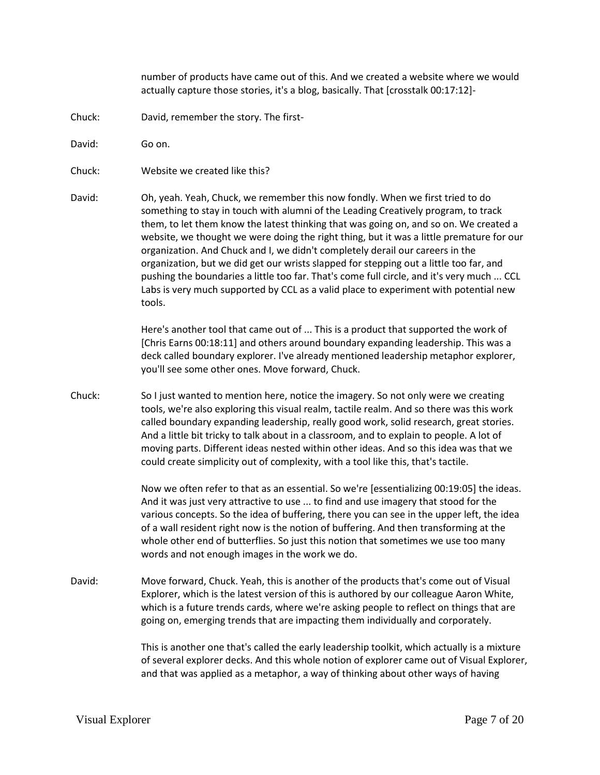number of products have came out of this. And we created a website where we would actually capture those stories, it's a blog, basically. That [crosstalk 00:17:12]-

Chuck: David, remember the story. The first-

David: Go on.

- Chuck: Website we created like this?
- David: Oh, yeah. Yeah, Chuck, we remember this now fondly. When we first tried to do something to stay in touch with alumni of the Leading Creatively program, to track them, to let them know the latest thinking that was going on, and so on. We created a website, we thought we were doing the right thing, but it was a little premature for our organization. And Chuck and I, we didn't completely derail our careers in the organization, but we did get our wrists slapped for stepping out a little too far, and pushing the boundaries a little too far. That's come full circle, and it's very much ... CCL Labs is very much supported by CCL as a valid place to experiment with potential new tools.

Here's another tool that came out of ... This is a product that supported the work of [Chris Earns 00:18:11] and others around boundary expanding leadership. This was a deck called boundary explorer. I've already mentioned leadership metaphor explorer, you'll see some other ones. Move forward, Chuck.

Chuck: So I just wanted to mention here, notice the imagery. So not only were we creating tools, we're also exploring this visual realm, tactile realm. And so there was this work called boundary expanding leadership, really good work, solid research, great stories. And a little bit tricky to talk about in a classroom, and to explain to people. A lot of moving parts. Different ideas nested within other ideas. And so this idea was that we could create simplicity out of complexity, with a tool like this, that's tactile.

> Now we often refer to that as an essential. So we're [essentializing 00:19:05] the ideas. And it was just very attractive to use ... to find and use imagery that stood for the various concepts. So the idea of buffering, there you can see in the upper left, the idea of a wall resident right now is the notion of buffering. And then transforming at the whole other end of butterflies. So just this notion that sometimes we use too many words and not enough images in the work we do.

David: Move forward, Chuck. Yeah, this is another of the products that's come out of Visual Explorer, which is the latest version of this is authored by our colleague Aaron White, which is a future trends cards, where we're asking people to reflect on things that are going on, emerging trends that are impacting them individually and corporately.

> This is another one that's called the early leadership toolkit, which actually is a mixture of several explorer decks. And this whole notion of explorer came out of Visual Explorer, and that was applied as a metaphor, a way of thinking about other ways of having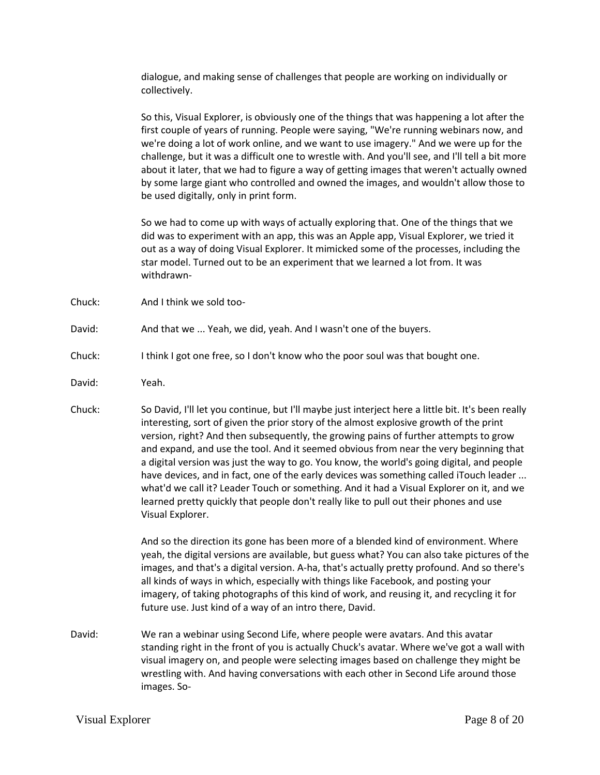dialogue, and making sense of challenges that people are working on individually or collectively.

So this, Visual Explorer, is obviously one of the things that was happening a lot after the first couple of years of running. People were saying, "We're running webinars now, and we're doing a lot of work online, and we want to use imagery." And we were up for the challenge, but it was a difficult one to wrestle with. And you'll see, and I'll tell a bit more about it later, that we had to figure a way of getting images that weren't actually owned by some large giant who controlled and owned the images, and wouldn't allow those to be used digitally, only in print form.

So we had to come up with ways of actually exploring that. One of the things that we did was to experiment with an app, this was an Apple app, Visual Explorer, we tried it out as a way of doing Visual Explorer. It mimicked some of the processes, including the star model. Turned out to be an experiment that we learned a lot from. It was withdrawn-

- Chuck: And I think we sold too-
- David: And that we ... Yeah, we did, yeah. And I wasn't one of the buyers.
- Chuck: I think I got one free, so I don't know who the poor soul was that bought one.
- David: Yeah.
- Chuck: So David, I'll let you continue, but I'll maybe just interject here a little bit. It's been really interesting, sort of given the prior story of the almost explosive growth of the print version, right? And then subsequently, the growing pains of further attempts to grow and expand, and use the tool. And it seemed obvious from near the very beginning that a digital version was just the way to go. You know, the world's going digital, and people have devices, and in fact, one of the early devices was something called iTouch leader ... what'd we call it? Leader Touch or something. And it had a Visual Explorer on it, and we learned pretty quickly that people don't really like to pull out their phones and use Visual Explorer.

And so the direction its gone has been more of a blended kind of environment. Where yeah, the digital versions are available, but guess what? You can also take pictures of the images, and that's a digital version. A-ha, that's actually pretty profound. And so there's all kinds of ways in which, especially with things like Facebook, and posting your imagery, of taking photographs of this kind of work, and reusing it, and recycling it for future use. Just kind of a way of an intro there, David.

David: We ran a webinar using Second Life, where people were avatars. And this avatar standing right in the front of you is actually Chuck's avatar. Where we've got a wall with visual imagery on, and people were selecting images based on challenge they might be wrestling with. And having conversations with each other in Second Life around those images. So-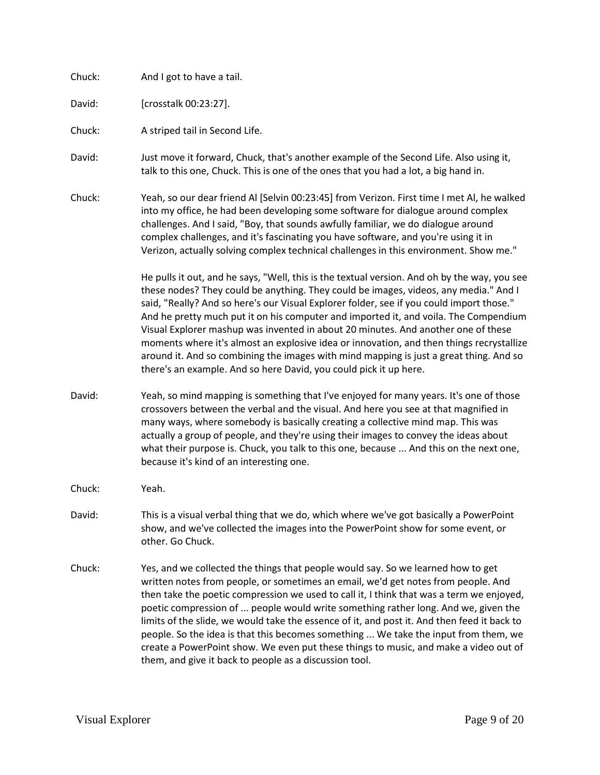| Chuck: | And I got to have a tail.                                                                                                                                                                                                                                                                                                                                                                                                                                                                                                                                                                                                                                                                                                |
|--------|--------------------------------------------------------------------------------------------------------------------------------------------------------------------------------------------------------------------------------------------------------------------------------------------------------------------------------------------------------------------------------------------------------------------------------------------------------------------------------------------------------------------------------------------------------------------------------------------------------------------------------------------------------------------------------------------------------------------------|
| David: | [crosstalk 00:23:27].                                                                                                                                                                                                                                                                                                                                                                                                                                                                                                                                                                                                                                                                                                    |
| Chuck: | A striped tail in Second Life.                                                                                                                                                                                                                                                                                                                                                                                                                                                                                                                                                                                                                                                                                           |
| David: | Just move it forward, Chuck, that's another example of the Second Life. Also using it,<br>talk to this one, Chuck. This is one of the ones that you had a lot, a big hand in.                                                                                                                                                                                                                                                                                                                                                                                                                                                                                                                                            |
| Chuck: | Yeah, so our dear friend Al [Selvin 00:23:45] from Verizon. First time I met Al, he walked<br>into my office, he had been developing some software for dialogue around complex<br>challenges. And I said, "Boy, that sounds awfully familiar, we do dialogue around<br>complex challenges, and it's fascinating you have software, and you're using it in<br>Verizon, actually solving complex technical challenges in this environment. Show me."                                                                                                                                                                                                                                                                       |
|        | He pulls it out, and he says, "Well, this is the textual version. And oh by the way, you see<br>these nodes? They could be anything. They could be images, videos, any media." And I<br>said, "Really? And so here's our Visual Explorer folder, see if you could import those."<br>And he pretty much put it on his computer and imported it, and voila. The Compendium<br>Visual Explorer mashup was invented in about 20 minutes. And another one of these<br>moments where it's almost an explosive idea or innovation, and then things recrystallize<br>around it. And so combining the images with mind mapping is just a great thing. And so<br>there's an example. And so here David, you could pick it up here. |
| David: | Yeah, so mind mapping is something that I've enjoyed for many years. It's one of those<br>crossovers between the verbal and the visual. And here you see at that magnified in<br>many ways, where somebody is basically creating a collective mind map. This was<br>actually a group of people, and they're using their images to convey the ideas about<br>what their purpose is. Chuck, you talk to this one, because  And this on the next one,<br>because it's kind of an interesting one.                                                                                                                                                                                                                           |
| Chuck: | Yeah.                                                                                                                                                                                                                                                                                                                                                                                                                                                                                                                                                                                                                                                                                                                    |
| David: | This is a visual verbal thing that we do, which where we've got basically a PowerPoint<br>show, and we've collected the images into the PowerPoint show for some event, or<br>other. Go Chuck.                                                                                                                                                                                                                                                                                                                                                                                                                                                                                                                           |
| Chuck: | Yes, and we collected the things that people would say. So we learned how to get<br>written notes from people, or sometimes an email, we'd get notes from people. And<br>then take the poetic compression we used to call it, I think that was a term we enjoyed,<br>poetic compression of  people would write something rather long. And we, given the<br>limits of the slide, we would take the essence of it, and post it. And then feed it back to<br>people. So the idea is that this becomes something  We take the input from them, we<br>create a PowerPoint show. We even put these things to music, and make a video out of<br>them, and give it back to people as a discussion tool.                          |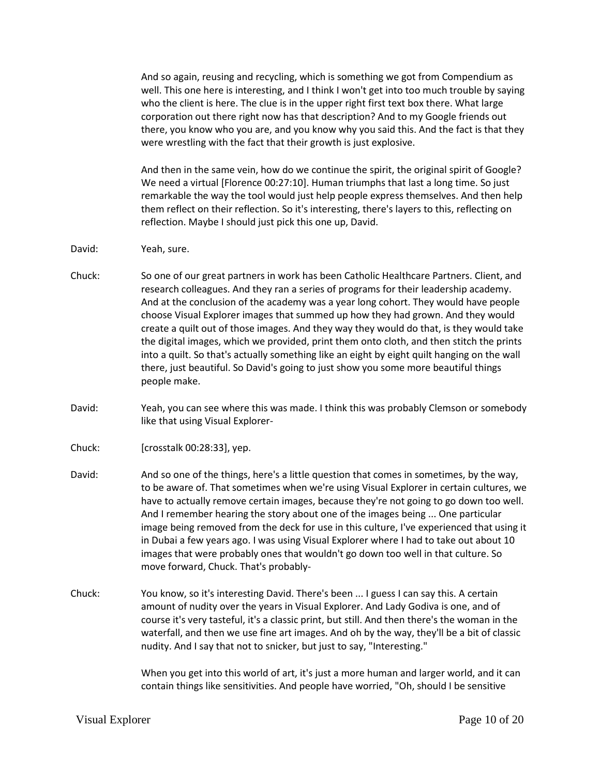And so again, reusing and recycling, which is something we got from Compendium as well. This one here is interesting, and I think I won't get into too much trouble by saying who the client is here. The clue is in the upper right first text box there. What large corporation out there right now has that description? And to my Google friends out there, you know who you are, and you know why you said this. And the fact is that they were wrestling with the fact that their growth is just explosive.

And then in the same vein, how do we continue the spirit, the original spirit of Google? We need a virtual [Florence 00:27:10]. Human triumphs that last a long time. So just remarkable the way the tool would just help people express themselves. And then help them reflect on their reflection. So it's interesting, there's layers to this, reflecting on reflection. Maybe I should just pick this one up, David.

- David: Yeah, sure.
- Chuck: So one of our great partners in work has been Catholic Healthcare Partners. Client, and research colleagues. And they ran a series of programs for their leadership academy. And at the conclusion of the academy was a year long cohort. They would have people choose Visual Explorer images that summed up how they had grown. And they would create a quilt out of those images. And they way they would do that, is they would take the digital images, which we provided, print them onto cloth, and then stitch the prints into a quilt. So that's actually something like an eight by eight quilt hanging on the wall there, just beautiful. So David's going to just show you some more beautiful things people make.
- David: Yeah, you can see where this was made. I think this was probably Clemson or somebody like that using Visual Explorer-
- Chuck: [crosstalk 00:28:33], yep.
- David: And so one of the things, here's a little question that comes in sometimes, by the way, to be aware of. That sometimes when we're using Visual Explorer in certain cultures, we have to actually remove certain images, because they're not going to go down too well. And I remember hearing the story about one of the images being ... One particular image being removed from the deck for use in this culture, I've experienced that using it in Dubai a few years ago. I was using Visual Explorer where I had to take out about 10 images that were probably ones that wouldn't go down too well in that culture. So move forward, Chuck. That's probably-
- Chuck: You know, so it's interesting David. There's been ... I guess I can say this. A certain amount of nudity over the years in Visual Explorer. And Lady Godiva is one, and of course it's very tasteful, it's a classic print, but still. And then there's the woman in the waterfall, and then we use fine art images. And oh by the way, they'll be a bit of classic nudity. And I say that not to snicker, but just to say, "Interesting."

When you get into this world of art, it's just a more human and larger world, and it can contain things like sensitivities. And people have worried, "Oh, should I be sensitive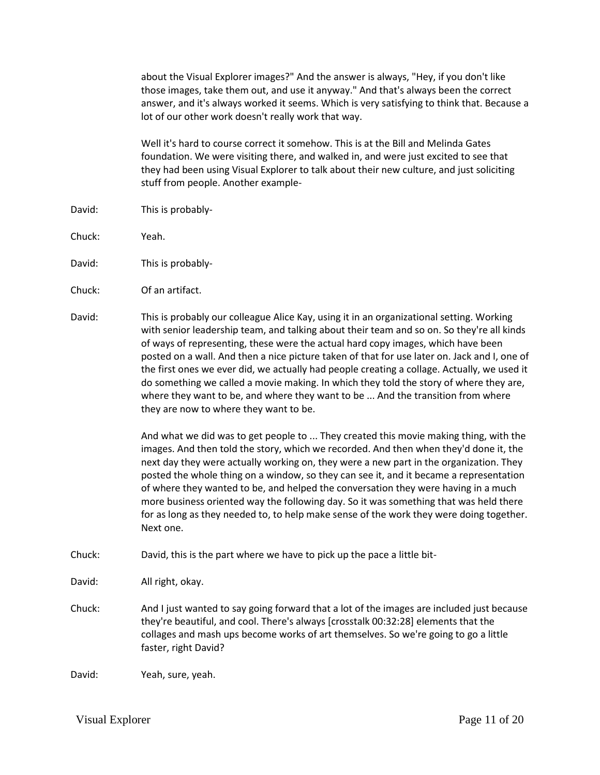about the Visual Explorer images?" And the answer is always, "Hey, if you don't like those images, take them out, and use it anyway." And that's always been the correct answer, and it's always worked it seems. Which is very satisfying to think that. Because a lot of our other work doesn't really work that way.

Well it's hard to course correct it somehow. This is at the Bill and Melinda Gates foundation. We were visiting there, and walked in, and were just excited to see that they had been using Visual Explorer to talk about their new culture, and just soliciting stuff from people. Another example-

- David: This is probably-
- Chuck: Yeah.
- David: This is probably-
- Chuck: Of an artifact.
- David: This is probably our colleague Alice Kay, using it in an organizational setting. Working with senior leadership team, and talking about their team and so on. So they're all kinds of ways of representing, these were the actual hard copy images, which have been posted on a wall. And then a nice picture taken of that for use later on. Jack and I, one of the first ones we ever did, we actually had people creating a collage. Actually, we used it do something we called a movie making. In which they told the story of where they are, where they want to be, and where they want to be ... And the transition from where they are now to where they want to be.

And what we did was to get people to ... They created this movie making thing, with the images. And then told the story, which we recorded. And then when they'd done it, the next day they were actually working on, they were a new part in the organization. They posted the whole thing on a window, so they can see it, and it became a representation of where they wanted to be, and helped the conversation they were having in a much more business oriented way the following day. So it was something that was held there for as long as they needed to, to help make sense of the work they were doing together. Next one.

- Chuck: David, this is the part where we have to pick up the pace a little bit-
- David: All right, okay.
- Chuck: And I just wanted to say going forward that a lot of the images are included just because they're beautiful, and cool. There's always [crosstalk 00:32:28] elements that the collages and mash ups become works of art themselves. So we're going to go a little faster, right David?

David: Yeah, sure, yeah.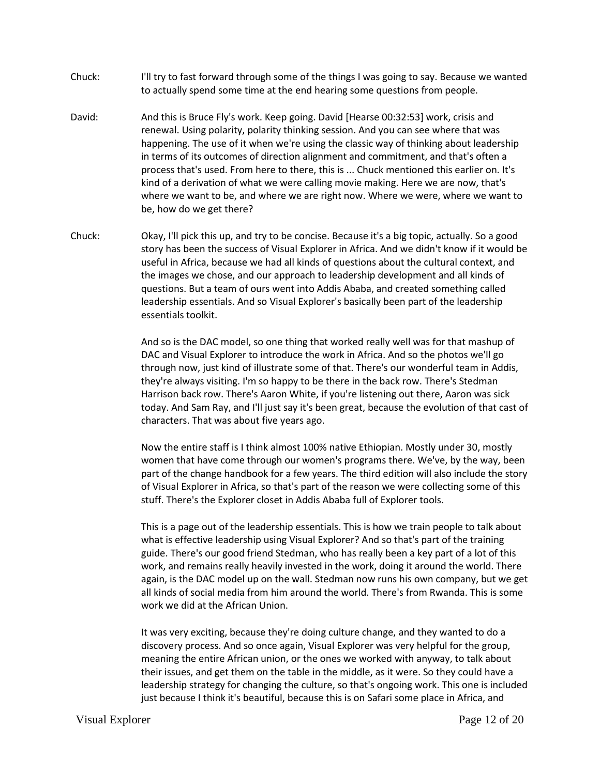- Chuck: I'll try to fast forward through some of the things I was going to say. Because we wanted to actually spend some time at the end hearing some questions from people.
- David: And this is Bruce Fly's work. Keep going. David [Hearse 00:32:53] work, crisis and renewal. Using polarity, polarity thinking session. And you can see where that was happening. The use of it when we're using the classic way of thinking about leadership in terms of its outcomes of direction alignment and commitment, and that's often a process that's used. From here to there, this is ... Chuck mentioned this earlier on. It's kind of a derivation of what we were calling movie making. Here we are now, that's where we want to be, and where we are right now. Where we were, where we want to be, how do we get there?
- Chuck: Okay, I'll pick this up, and try to be concise. Because it's a big topic, actually. So a good story has been the success of Visual Explorer in Africa. And we didn't know if it would be useful in Africa, because we had all kinds of questions about the cultural context, and the images we chose, and our approach to leadership development and all kinds of questions. But a team of ours went into Addis Ababa, and created something called leadership essentials. And so Visual Explorer's basically been part of the leadership essentials toolkit.

And so is the DAC model, so one thing that worked really well was for that mashup of DAC and Visual Explorer to introduce the work in Africa. And so the photos we'll go through now, just kind of illustrate some of that. There's our wonderful team in Addis, they're always visiting. I'm so happy to be there in the back row. There's Stedman Harrison back row. There's Aaron White, if you're listening out there, Aaron was sick today. And Sam Ray, and I'll just say it's been great, because the evolution of that cast of characters. That was about five years ago.

Now the entire staff is I think almost 100% native Ethiopian. Mostly under 30, mostly women that have come through our women's programs there. We've, by the way, been part of the change handbook for a few years. The third edition will also include the story of Visual Explorer in Africa, so that's part of the reason we were collecting some of this stuff. There's the Explorer closet in Addis Ababa full of Explorer tools.

This is a page out of the leadership essentials. This is how we train people to talk about what is effective leadership using Visual Explorer? And so that's part of the training guide. There's our good friend Stedman, who has really been a key part of a lot of this work, and remains really heavily invested in the work, doing it around the world. There again, is the DAC model up on the wall. Stedman now runs his own company, but we get all kinds of social media from him around the world. There's from Rwanda. This is some work we did at the African Union.

It was very exciting, because they're doing culture change, and they wanted to do a discovery process. And so once again, Visual Explorer was very helpful for the group, meaning the entire African union, or the ones we worked with anyway, to talk about their issues, and get them on the table in the middle, as it were. So they could have a leadership strategy for changing the culture, so that's ongoing work. This one is included just because I think it's beautiful, because this is on Safari some place in Africa, and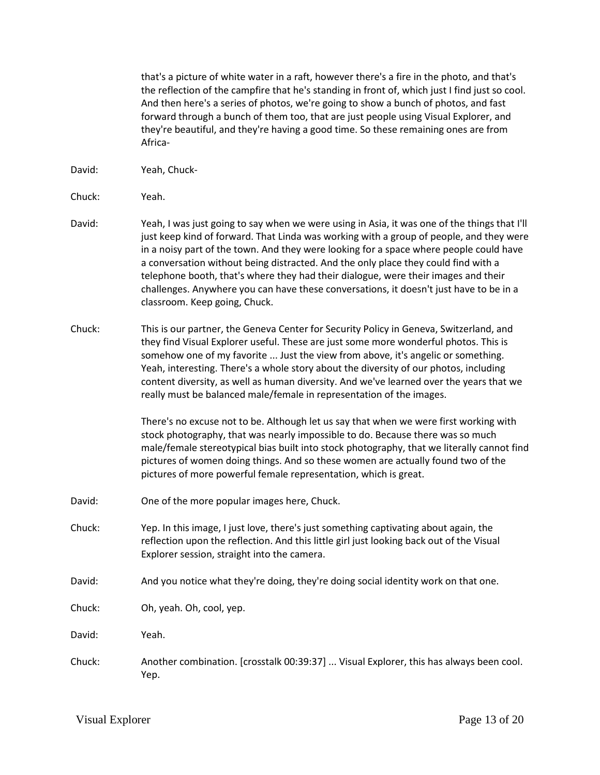that's a picture of white water in a raft, however there's a fire in the photo, and that's the reflection of the campfire that he's standing in front of, which just I find just so cool. And then here's a series of photos, we're going to show a bunch of photos, and fast forward through a bunch of them too, that are just people using Visual Explorer, and they're beautiful, and they're having a good time. So these remaining ones are from Africa-

- David: Yeah, Chuck-
- Chuck: Yeah.
- David: Yeah, I was just going to say when we were using in Asia, it was one of the things that I'll just keep kind of forward. That Linda was working with a group of people, and they were in a noisy part of the town. And they were looking for a space where people could have a conversation without being distracted. And the only place they could find with a telephone booth, that's where they had their dialogue, were their images and their challenges. Anywhere you can have these conversations, it doesn't just have to be in a classroom. Keep going, Chuck.
- Chuck: This is our partner, the Geneva Center for Security Policy in Geneva, Switzerland, and they find Visual Explorer useful. These are just some more wonderful photos. This is somehow one of my favorite ... Just the view from above, it's angelic or something. Yeah, interesting. There's a whole story about the diversity of our photos, including content diversity, as well as human diversity. And we've learned over the years that we really must be balanced male/female in representation of the images.

There's no excuse not to be. Although let us say that when we were first working with stock photography, that was nearly impossible to do. Because there was so much male/female stereotypical bias built into stock photography, that we literally cannot find pictures of women doing things. And so these women are actually found two of the pictures of more powerful female representation, which is great.

- David: One of the more popular images here, Chuck.
- Chuck: Yep. In this image, I just love, there's just something captivating about again, the reflection upon the reflection. And this little girl just looking back out of the Visual Explorer session, straight into the camera.
- David: And you notice what they're doing, they're doing social identity work on that one.
- Chuck: Oh, yeah. Oh, cool, yep.
- David: Yeah.
- Chuck: Another combination. [crosstalk 00:39:37] ... Visual Explorer, this has always been cool. Yep.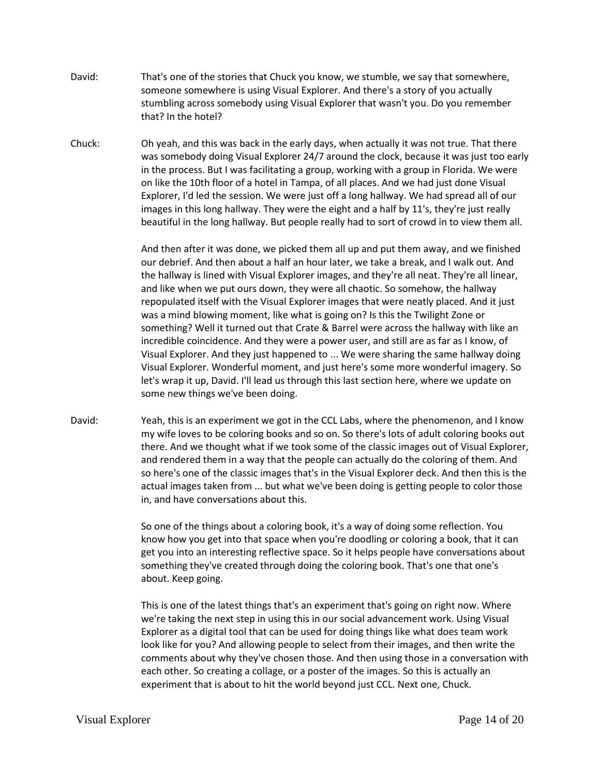- David: That's one of the stories that Chuck you know, we stumble, we say that somewhere, someone somewhere is using Visual Explorer. And there's a story of you actually stumbling across somebody using Visual Explorer that wasn't you. Do you remember that? In the hotel?
- Chuck: Oh yeah, and this was back in the early days, when actually it was not true. That there was somebody doing Visual Explorer 24/7 around the clock, because it was just too early in the process. But I was facilitating a group, working with a group in Florida. We were on like the 10th floor of a hotel in Tampa, of all places. And we had just done Visual Explorer, I'd led the session. We were just off a long hallway. We had spread all of our images in this long hallway. They were the eight and a half by 11's, they're just really beautiful in the long hallway. But people really had to sort of crowd in to view them all.

And then after it was done, we picked them all up and put them away, and we finished our debrief. And then about a half an hour later, we take a break, and I walk out. And the hallway is lined with Visual Explorer images, and they're all neat. They're all linear, and like when we put ours down, they were all chaotic. So somehow, the hallway repopulated itself with the Visual Explorer images that were neatly placed. And it just was a mind blowing moment, like what is going on? Is this the Twilight Zone or something? Well it turned out that Crate & Barrel were across the hallway with like an incredible coincidence. And they were a power user, and still are as far as I know, of Visual Explorer. And they just happened to ... We were sharing the same hallway doing Visual Explorer. Wonderful moment, and just here's some more wonderful imagery. So let's wrap it up, David. I'll lead us through this last section here, where we update on some new things we've been doing.

David: Yeah, this is an experiment we got in the CCL Labs, where the phenomenon, and I know my wife loves to be coloring books and so on. So there's lots of adult coloring books out there. And we thought what if we took some of the classic images out of Visual Explorer, and rendered them in a way that the people can actually do the coloring of them. And so here's one of the classic images that's in the Visual Explorer deck. And then this is the actual images taken from ... but what we've been doing is getting people to color those in, and have conversations about this.

> So one of the things about a coloring book, it's a way of doing some reflection. You know how you get into that space when you're doodling or coloring a book, that it can get you into an interesting reflective space. So it helps people have conversations about something they've created through doing the coloring book. That's one that one's about. Keep going.

> This is one of the latest things that's an experiment that's going on right now. Where we're taking the next step in using this in our social advancement work. Using Visual Explorer as a digital tool that can be used for doing things like what does team work look like for you? And allowing people to select from their images, and then write the comments about why they've chosen those. And then using those in a conversation with each other. So creating a collage, or a poster of the images. So this is actually an experiment that is about to hit the world beyond just CCL. Next one, Chuck.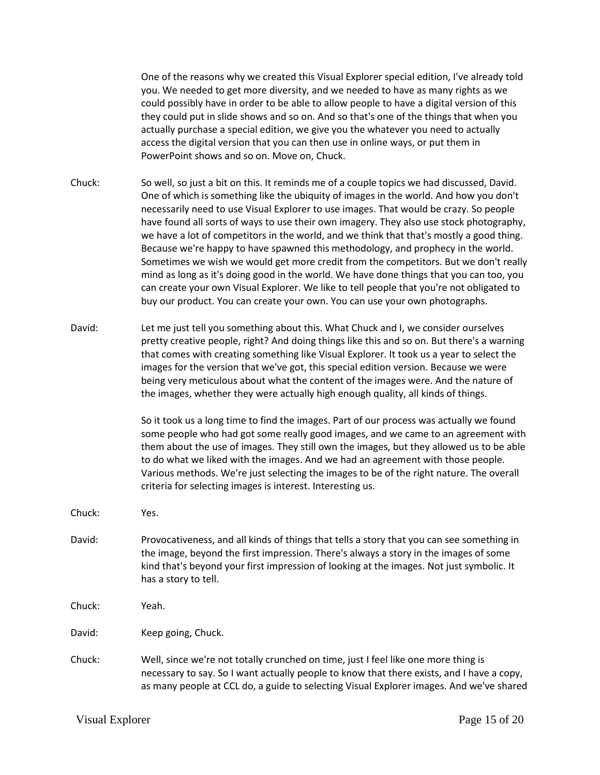One of the reasons why we created this Visual Explorer special edition, I've already told you. We needed to get more diversity, and we needed to have as many rights as we could possibly have in order to be able to allow people to have a digital version of this they could put in slide shows and so on. And so that's one of the things that when you actually purchase a special edition, we give you the whatever you need to actually access the digital version that you can then use in online ways, or put them in PowerPoint shows and so on. Move on, Chuck.

Chuck: So well, so just a bit on this. It reminds me of a couple topics we had discussed, David. One of which is something like the ubiquity of images in the world. And how you don't necessarily need to use Visual Explorer to use images. That would be crazy. So people have found all sorts of ways to use their own imagery. They also use stock photography, we have a lot of competitors in the world, and we think that that's mostly a good thing. Because we're happy to have spawned this methodology, and prophecy in the world. Sometimes we wish we would get more credit from the competitors. But we don't really mind as long as it's doing good in the world. We have done things that you can too, you can create your own Visual Explorer. We like to tell people that you're not obligated to buy our product. You can create your own. You can use your own photographs.

David: Let me just tell you something about this. What Chuck and I, we consider ourselves pretty creative people, right? And doing things like this and so on. But there's a warning that comes with creating something like Visual Explorer. It took us a year to select the images for the version that we've got, this special edition version. Because we were being very meticulous about what the content of the images were. And the nature of the images, whether they were actually high enough quality, all kinds of things.

> So it took us a long time to find the images. Part of our process was actually we found some people who had got some really good images, and we came to an agreement with them about the use of images. They still own the images, but they allowed us to be able to do what we liked with the images. And we had an agreement with those people. Various methods. We're just selecting the images to be of the right nature. The overall criteria for selecting images is interest. Interesting us.

- Chuck: Yes.
- David: Provocativeness, and all kinds of things that tells a story that you can see something in the image, beyond the first impression. There's always a story in the images of some kind that's beyond your first impression of looking at the images. Not just symbolic. It has a story to tell.

Chuck: Yeah.

David: Keep going, Chuck.

Chuck: Well, since we're not totally crunched on time, just I feel like one more thing is necessary to say. So I want actually people to know that there exists, and I have a copy, as many people at CCL do, a guide to selecting Visual Explorer images. And we've shared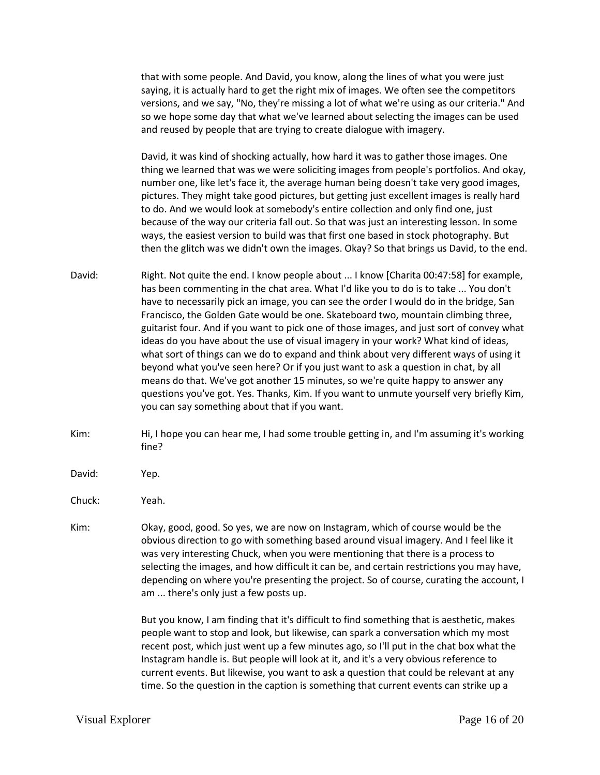that with some people. And David, you know, along the lines of what you were just saying, it is actually hard to get the right mix of images. We often see the competitors versions, and we say, "No, they're missing a lot of what we're using as our criteria." And so we hope some day that what we've learned about selecting the images can be used and reused by people that are trying to create dialogue with imagery.

David, it was kind of shocking actually, how hard it was to gather those images. One thing we learned that was we were soliciting images from people's portfolios. And okay, number one, like let's face it, the average human being doesn't take very good images, pictures. They might take good pictures, but getting just excellent images is really hard to do. And we would look at somebody's entire collection and only find one, just because of the way our criteria fall out. So that was just an interesting lesson. In some ways, the easiest version to build was that first one based in stock photography. But then the glitch was we didn't own the images. Okay? So that brings us David, to the end.

- David: Right. Not quite the end. I know people about ... I know [Charita 00:47:58] for example, has been commenting in the chat area. What I'd like you to do is to take ... You don't have to necessarily pick an image, you can see the order I would do in the bridge, San Francisco, the Golden Gate would be one. Skateboard two, mountain climbing three, guitarist four. And if you want to pick one of those images, and just sort of convey what ideas do you have about the use of visual imagery in your work? What kind of ideas, what sort of things can we do to expand and think about very different ways of using it beyond what you've seen here? Or if you just want to ask a question in chat, by all means do that. We've got another 15 minutes, so we're quite happy to answer any questions you've got. Yes. Thanks, Kim. If you want to unmute yourself very briefly Kim, you can say something about that if you want.
- Kim: Hi, I hope you can hear me, I had some trouble getting in, and I'm assuming it's working fine?
- David: Yep.

Chuck: Yeah.

Kim: Okay, good, good. So yes, we are now on Instagram, which of course would be the obvious direction to go with something based around visual imagery. And I feel like it was very interesting Chuck, when you were mentioning that there is a process to selecting the images, and how difficult it can be, and certain restrictions you may have, depending on where you're presenting the project. So of course, curating the account, I am ... there's only just a few posts up.

> But you know, I am finding that it's difficult to find something that is aesthetic, makes people want to stop and look, but likewise, can spark a conversation which my most recent post, which just went up a few minutes ago, so I'll put in the chat box what the Instagram handle is. But people will look at it, and it's a very obvious reference to current events. But likewise, you want to ask a question that could be relevant at any time. So the question in the caption is something that current events can strike up a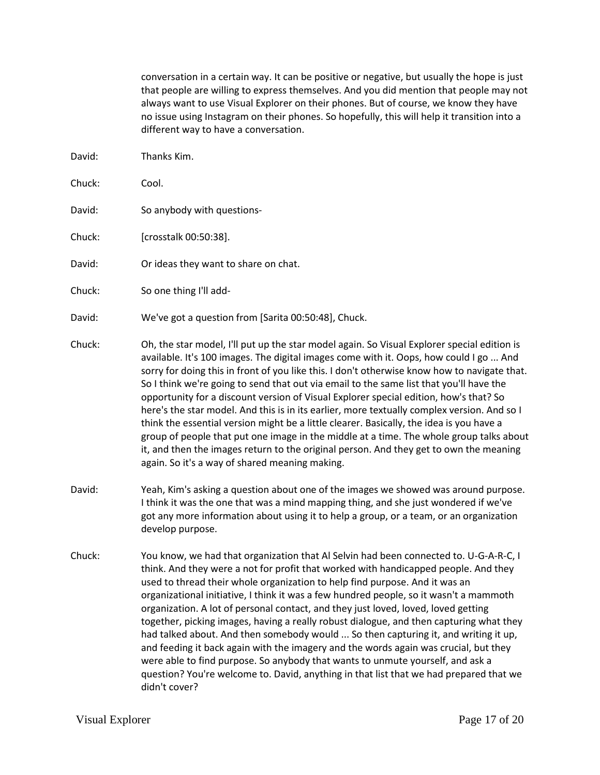conversation in a certain way. It can be positive or negative, but usually the hope is just that people are willing to express themselves. And you did mention that people may not always want to use Visual Explorer on their phones. But of course, we know they have no issue using Instagram on their phones. So hopefully, this will help it transition into a different way to have a conversation.

David: Thanks Kim. Chuck: Cool. David: So anybody with questions-Chuck: [crosstalk 00:50:38]. David: Or ideas they want to share on chat. Chuck: So one thing I'll add-David: We've got a question from [Sarita 00:50:48], Chuck. Chuck: Oh, the star model, I'll put up the star model again. So Visual Explorer special edition is available. It's 100 images. The digital images come with it. Oops, how could I go ... And sorry for doing this in front of you like this. I don't otherwise know how to navigate that. So I think we're going to send that out via email to the same list that you'll have the opportunity for a discount version of Visual Explorer special edition, how's that? So here's the star model. And this is in its earlier, more textually complex version. And so I think the essential version might be a little clearer. Basically, the idea is you have a group of people that put one image in the middle at a time. The whole group talks about it, and then the images return to the original person. And they get to own the meaning again. So it's a way of shared meaning making. David: Yeah, Kim's asking a question about one of the images we showed was around purpose. I think it was the one that was a mind mapping thing, and she just wondered if we've got any more information about using it to help a group, or a team, or an organization develop purpose. Chuck: You know, we had that organization that Al Selvin had been connected to. U-G-A-R-C, I think. And they were a not for profit that worked with handicapped people. And they used to thread their whole organization to help find purpose. And it was an organizational initiative, I think it was a few hundred people, so it wasn't a mammoth

organization. A lot of personal contact, and they just loved, loved, loved getting together, picking images, having a really robust dialogue, and then capturing what they had talked about. And then somebody would ... So then capturing it, and writing it up, and feeding it back again with the imagery and the words again was crucial, but they were able to find purpose. So anybody that wants to unmute yourself, and ask a question? You're welcome to. David, anything in that list that we had prepared that we didn't cover?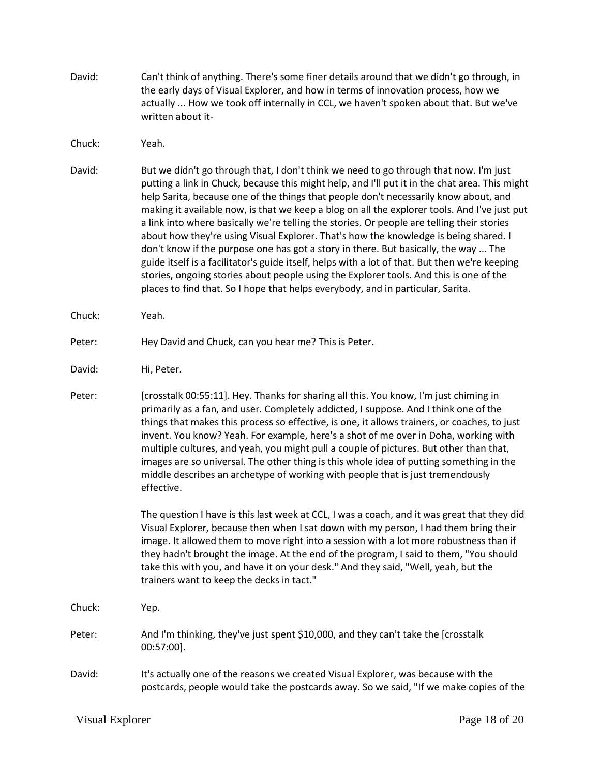- David: Can't think of anything. There's some finer details around that we didn't go through, in the early days of Visual Explorer, and how in terms of innovation process, how we actually ... How we took off internally in CCL, we haven't spoken about that. But we've written about it-
- Chuck: Yeah.
- David: But we didn't go through that, I don't think we need to go through that now. I'm just putting a link in Chuck, because this might help, and I'll put it in the chat area. This might help Sarita, because one of the things that people don't necessarily know about, and making it available now, is that we keep a blog on all the explorer tools. And I've just put a link into where basically we're telling the stories. Or people are telling their stories about how they're using Visual Explorer. That's how the knowledge is being shared. I don't know if the purpose one has got a story in there. But basically, the way ... The guide itself is a facilitator's guide itself, helps with a lot of that. But then we're keeping stories, ongoing stories about people using the Explorer tools. And this is one of the places to find that. So I hope that helps everybody, and in particular, Sarita.
- Chuck: Yeah.
- Peter: Hey David and Chuck, can you hear me? This is Peter.
- David: Hi, Peter.
- Peter: [crosstalk 00:55:11]. Hey. Thanks for sharing all this. You know, I'm just chiming in primarily as a fan, and user. Completely addicted, I suppose. And I think one of the things that makes this process so effective, is one, it allows trainers, or coaches, to just invent. You know? Yeah. For example, here's a shot of me over in Doha, working with multiple cultures, and yeah, you might pull a couple of pictures. But other than that, images are so universal. The other thing is this whole idea of putting something in the middle describes an archetype of working with people that is just tremendously effective.

The question I have is this last week at CCL, I was a coach, and it was great that they did Visual Explorer, because then when I sat down with my person, I had them bring their image. It allowed them to move right into a session with a lot more robustness than if they hadn't brought the image. At the end of the program, I said to them, "You should take this with you, and have it on your desk." And they said, "Well, yeah, but the trainers want to keep the decks in tact."

- Chuck: Yep.
- Peter: And I'm thinking, they've just spent \$10,000, and they can't take the [crosstalk 00:57:00].
- David: It's actually one of the reasons we created Visual Explorer, was because with the postcards, people would take the postcards away. So we said, "If we make copies of the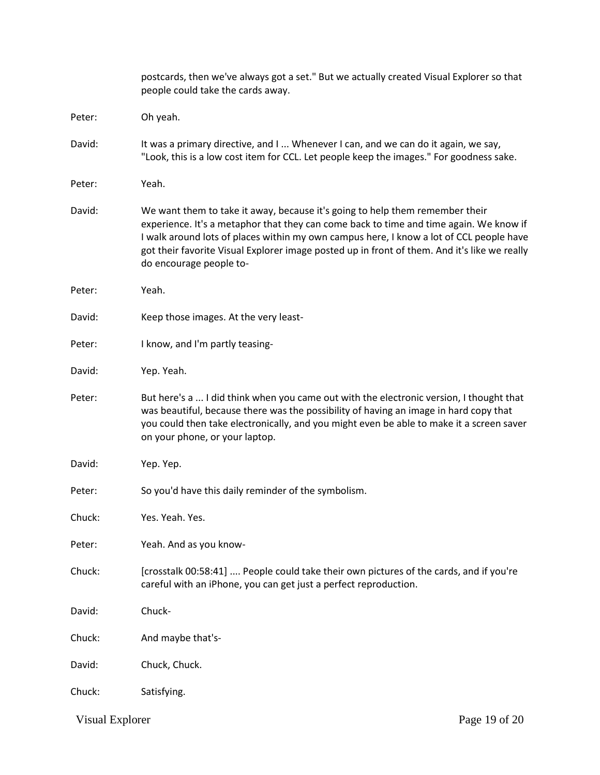|        | postcards, then we've always got a set." But we actually created Visual Explorer so that<br>people could take the cards away.                                                                                                                                                                                                                                                                |
|--------|----------------------------------------------------------------------------------------------------------------------------------------------------------------------------------------------------------------------------------------------------------------------------------------------------------------------------------------------------------------------------------------------|
| Peter: | Oh yeah.                                                                                                                                                                                                                                                                                                                                                                                     |
| David: | It was a primary directive, and I  Whenever I can, and we can do it again, we say,<br>"Look, this is a low cost item for CCL. Let people keep the images." For goodness sake.                                                                                                                                                                                                                |
| Peter: | Yeah.                                                                                                                                                                                                                                                                                                                                                                                        |
| David: | We want them to take it away, because it's going to help them remember their<br>experience. It's a metaphor that they can come back to time and time again. We know if<br>I walk around lots of places within my own campus here, I know a lot of CCL people have<br>got their favorite Visual Explorer image posted up in front of them. And it's like we really<br>do encourage people to- |
| Peter: | Yeah.                                                                                                                                                                                                                                                                                                                                                                                        |
| David: | Keep those images. At the very least-                                                                                                                                                                                                                                                                                                                                                        |
| Peter: | I know, and I'm partly teasing-                                                                                                                                                                                                                                                                                                                                                              |
| David: | Yep. Yeah.                                                                                                                                                                                                                                                                                                                                                                                   |
| Peter: | But here's a  I did think when you came out with the electronic version, I thought that<br>was beautiful, because there was the possibility of having an image in hard copy that<br>you could then take electronically, and you might even be able to make it a screen saver<br>on your phone, or your laptop.                                                                               |
| David: | Yep. Yep.                                                                                                                                                                                                                                                                                                                                                                                    |
| Peter: | So you'd have this daily reminder of the symbolism.                                                                                                                                                                                                                                                                                                                                          |
| Chuck: | Yes. Yeah. Yes.                                                                                                                                                                                                                                                                                                                                                                              |
| Peter: | Yeah. And as you know-                                                                                                                                                                                                                                                                                                                                                                       |
| Chuck: | [crosstalk 00:58:41]  People could take their own pictures of the cards, and if you're<br>careful with an iPhone, you can get just a perfect reproduction.                                                                                                                                                                                                                                   |
| David: | Chuck-                                                                                                                                                                                                                                                                                                                                                                                       |
| Chuck: | And maybe that's-                                                                                                                                                                                                                                                                                                                                                                            |
| David: | Chuck, Chuck.                                                                                                                                                                                                                                                                                                                                                                                |
| Chuck: | Satisfying.                                                                                                                                                                                                                                                                                                                                                                                  |

Visual Explorer Page 19 of 20